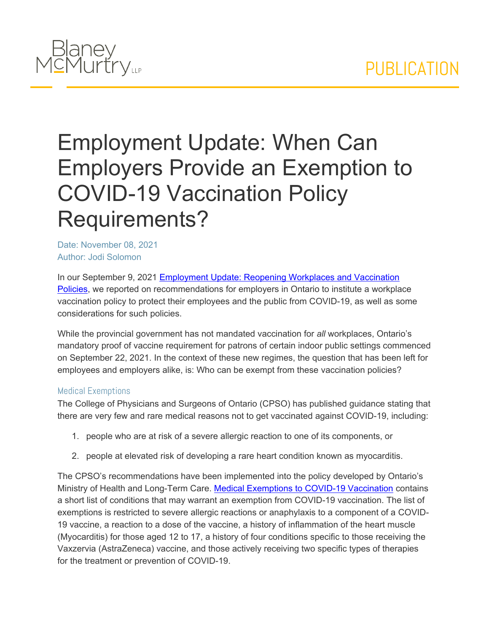

# Employment Update: When Can Employers Provide an Exemption to COVID-19 Vaccination Policy Requirements?

Date: November 08, 2021 Author: Jodi Solomon

In our September 9, 2021 [Employment](https://www.blaney.com/articles/reopening-workplaces-and-vaccination-policies?utm_source=Mondaq&utm_medium=syndication&utm_campaign=LinkedIn-integration) [Update:](https://www.blaney.com/articles/reopening-workplaces-and-vaccination-policies?utm_source=Mondaq&utm_medium=syndication&utm_campaign=LinkedIn-integration) [Reopening](https://www.blaney.com/articles/reopening-workplaces-and-vaccination-policies?utm_source=Mondaq&utm_medium=syndication&utm_campaign=LinkedIn-integration) [Workplaces](https://www.blaney.com/articles/reopening-workplaces-and-vaccination-policies?utm_source=Mondaq&utm_medium=syndication&utm_campaign=LinkedIn-integration) [and](https://www.blaney.com/articles/reopening-workplaces-and-vaccination-policies?utm_source=Mondaq&utm_medium=syndication&utm_campaign=LinkedIn-integration) [Vaccination](https://www.blaney.com/articles/reopening-workplaces-and-vaccination-policies?utm_source=Mondaq&utm_medium=syndication&utm_campaign=LinkedIn-integration) [Policies,](https://www.blaney.com/articles/reopening-workplaces-and-vaccination-policies?utm_source=Mondaq&utm_medium=syndication&utm_campaign=LinkedIn-integration) we reported on recommendations for employers in Ontario to institute a workplace vaccination policy to protect their employees and the public from COVID-19, as well as some considerations for such policies.

While the provincial government has not mandated vaccination for *all* workplaces, Ontario's mandatory proof of vaccine requirement for patrons of certain indoor public settings commenced on September 22, 2021. In the context of these new regimes, the question that has been left for employees and employers alike, is: Who can be exempt from these vaccination policies?

### Medical Exemptions

The College of Physicians and Surgeons of Ontario (CPSO) has published guidance stating that there are very few and rare medical reasons not to get vaccinated against COVID-19, including:

- 1. people who are at risk of a severe allergic reaction to one of its components, or
- 2. people at elevated risk of developing a rare heart condition known as myocarditis.

The CPSO's recommendations have been implemented into the policy developed by Ontario's Ministry of Health and Long-Term Care. [Medical](https://health.gov.on.ca/en/pro/programs/publichealth/coronavirus/docs/vaccine/medical_exemptions_to_vaccination.pdf) [Exemptions](https://health.gov.on.ca/en/pro/programs/publichealth/coronavirus/docs/vaccine/medical_exemptions_to_vaccination.pdf) [to](https://health.gov.on.ca/en/pro/programs/publichealth/coronavirus/docs/vaccine/medical_exemptions_to_vaccination.pdf) [COVID-19](https://health.gov.on.ca/en/pro/programs/publichealth/coronavirus/docs/vaccine/medical_exemptions_to_vaccination.pdf) [Vaccination](https://health.gov.on.ca/en/pro/programs/publichealth/coronavirus/docs/vaccine/medical_exemptions_to_vaccination.pdf) contains a short list of conditions that may warrant an exemption from COVID-19 vaccination. The list of exemptions is restricted to severe allergic reactions or anaphylaxis to a component of a COVID-19 vaccine, a reaction to a dose of the vaccine, a history of inflammation of the heart muscle (Myocarditis) for those aged 12 to 17, a history of four conditions specific to those receiving the Vaxzervia (AstraZeneca) vaccine, and those actively receiving two specific types of therapies for the treatment or prevention of COVID-19.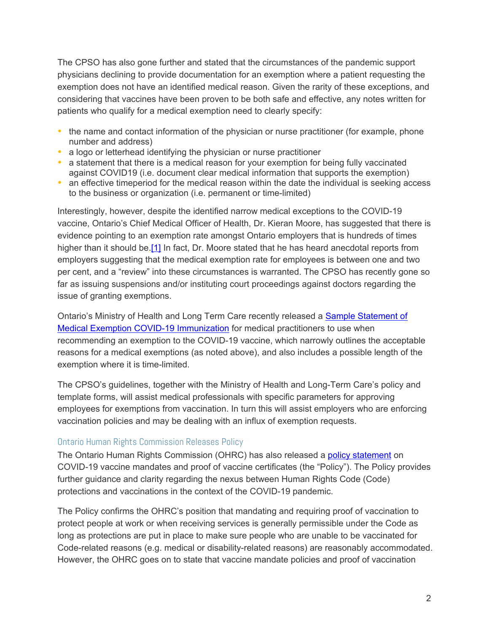The CPSO has also gone further and stated that the circumstances of the pandemic support physicians declining to provide documentation for an exemption where a patient requesting the exemption does not have an identified medical reason. Given the rarity of these exceptions, and considering that vaccines have been proven to be both safe and effective, any notes written for patients who qualify for a medical exemption need to clearly specify:

- the name and contact information of the physician or nurse practitioner (for example, phone number and address)
- a logo or letterhead identifying the physician or nurse practitioner
- a statement that there is a medical reason for your exemption for being fully vaccinated against COVID19 (i.e. document clear medical information that supports the exemption)
- an effective timeperiod for the medical reason within the date the individual is seeking access to the business or organization (i.e. permanent or time-limited)

<span id="page-1-0"></span>Interestingly, however, despite the identified narrow medical exceptions to the COVID-19 vaccine, Ontario's Chief Medical Officer of Health, Dr. Kieran Moore, has suggested that there is evidence pointing to an exemption rate amongst Ontario employers that is hundreds of times higher than it should be[.\[1\]](#page-3-0) In fact, Dr. Moore stated that he has heard anecdotal reports from employers suggesting that the medical exemption rate for employees is between one and two per cent, and a "review" into these circumstances is warranted. The CPSO has recently gone so far as issuing suspensions and/or instituting court proceedings against doctors regarding the issue of granting exemptions.

Ontario's Ministry of Health and Long Term Care recently released a [Sample](https://www.blaney.com/articles/reopening-workplaces-and-vaccination-policies?utm_source=Mondaq&utm_medium=syndication&utm_campaign=LinkedIn-integrationhttps://www.health.gov.on.ca/en/pro/programs/publichealth/coronavirus/docs/vaccine/COVID-19_sample_medical_exemption_template.pdf) [Statement](https://www.blaney.com/articles/reopening-workplaces-and-vaccination-policies?utm_source=Mondaq&utm_medium=syndication&utm_campaign=LinkedIn-integrationhttps://www.health.gov.on.ca/en/pro/programs/publichealth/coronavirus/docs/vaccine/COVID-19_sample_medical_exemption_template.pdf) [of](https://www.blaney.com/articles/reopening-workplaces-and-vaccination-policies?utm_source=Mondaq&utm_medium=syndication&utm_campaign=LinkedIn-integrationhttps://www.health.gov.on.ca/en/pro/programs/publichealth/coronavirus/docs/vaccine/COVID-19_sample_medical_exemption_template.pdf) [Medical](https://www.blaney.com/articles/reopening-workplaces-and-vaccination-policies?utm_source=Mondaq&utm_medium=syndication&utm_campaign=LinkedIn-integrationhttps://www.health.gov.on.ca/en/pro/programs/publichealth/coronavirus/docs/vaccine/COVID-19_sample_medical_exemption_template.pdf) [Exemption](https://www.blaney.com/articles/reopening-workplaces-and-vaccination-policies?utm_source=Mondaq&utm_medium=syndication&utm_campaign=LinkedIn-integrationhttps://www.health.gov.on.ca/en/pro/programs/publichealth/coronavirus/docs/vaccine/COVID-19_sample_medical_exemption_template.pdf) [COVID-19](https://www.blaney.com/articles/reopening-workplaces-and-vaccination-policies?utm_source=Mondaq&utm_medium=syndication&utm_campaign=LinkedIn-integrationhttps://www.health.gov.on.ca/en/pro/programs/publichealth/coronavirus/docs/vaccine/COVID-19_sample_medical_exemption_template.pdf) [Immunization](https://www.blaney.com/articles/reopening-workplaces-and-vaccination-policies?utm_source=Mondaq&utm_medium=syndication&utm_campaign=LinkedIn-integrationhttps://www.health.gov.on.ca/en/pro/programs/publichealth/coronavirus/docs/vaccine/COVID-19_sample_medical_exemption_template.pdf) for medical practitioners to use when recommending an exemption to the COVID-19 vaccine, which narrowly outlines the acceptable reasons for a medical exemptions (as noted above), and also includes a possible length of the exemption where it is time-limited.

The CPSO's guidelines, together with the Ministry of Health and Long-Term Care's policy and template forms, will assist medical professionals with specific parameters for approving employees for exemptions from vaccination. In turn this will assist employers who are enforcing vaccination policies and may be dealing with an influx of exemption requests.

## Ontario Human Rights Commission Releases Policy

The Ontario Human Rights Commission (OHRC) has also released a [policy](http://www.ohrc.on.ca/en/news_centre/ohrc-policy-statement-covid-19-vaccine-mandates-and-proof-vaccine-certificates) [statement](http://www.ohrc.on.ca/en/news_centre/ohrc-policy-statement-covid-19-vaccine-mandates-and-proof-vaccine-certificates) on COVID-19 vaccine mandates and proof of vaccine certificates (the "Policy"). The Policy provides further guidance and clarity regarding the nexus between Human Rights Code (Code) protections and vaccinations in the context of the COVID-19 pandemic.

The Policy confirms the OHRC's position that mandating and requiring proof of vaccination to protect people at work or when receiving services is generally permissible under the Code as long as protections are put in place to make sure people who are unable to be vaccinated for Code-related reasons (e.g. medical or disability-related reasons) are reasonably accommodated. However, the OHRC goes on to state that vaccine mandate policies and proof of vaccination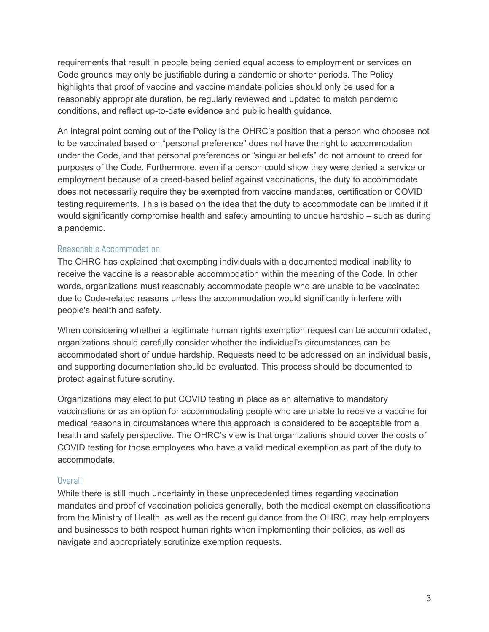requirements that result in people being denied equal access to employment or services on Code grounds may only be justifiable during a pandemic or shorter periods. The Policy highlights that proof of vaccine and vaccine mandate policies should only be used for a reasonably appropriate duration, be regularly reviewed and updated to match pandemic conditions, and reflect up-to-date evidence and public health guidance.

An integral point coming out of the Policy is the OHRC's position that a person who chooses not to be vaccinated based on "personal preference" does not have the right to accommodation under the Code, and that personal preferences or "singular beliefs" do not amount to creed for purposes of the Code. Furthermore, even if a person could show they were denied a service or employment because of a creed-based belief against vaccinations, the duty to accommodate does not necessarily require they be exempted from vaccine mandates, certification or COVID testing requirements. This is based on the idea that the duty to accommodate can be limited if it would significantly compromise health and safety amounting to undue hardship – such as during a pandemic.

## Reasonable Accommodation

The OHRC has explained that exempting individuals with a documented medical inability to receive the vaccine is a reasonable accommodation within the meaning of the Code. In other words, organizations must reasonably accommodate people who are unable to be vaccinated due to Code-related reasons unless the accommodation would significantly interfere with people's health and safety.

When considering whether a legitimate human rights exemption request can be accommodated, organizations should carefully consider whether the individual's circumstances can be accommodated short of undue hardship. Requests need to be addressed on an individual basis, and supporting documentation should be evaluated. This process should be documented to protect against future scrutiny.

Organizations may elect to put COVID testing in place as an alternative to mandatory vaccinations or as an option for accommodating people who are unable to receive a vaccine for medical reasons in circumstances where this approach is considered to be acceptable from a health and safety perspective. The OHRC's view is that organizations should cover the costs of COVID testing for those employees who have a valid medical exemption as part of the duty to accommodate.

### **Overall**

While there is still much uncertainty in these unprecedented times regarding vaccination mandates and proof of vaccination policies generally, both the medical exemption classifications from the Ministry of Health, as well as the recent guidance from the OHRC, may help employers and businesses to both respect human rights when implementing their policies, as well as navigate and appropriately scrutinize exemption requests.